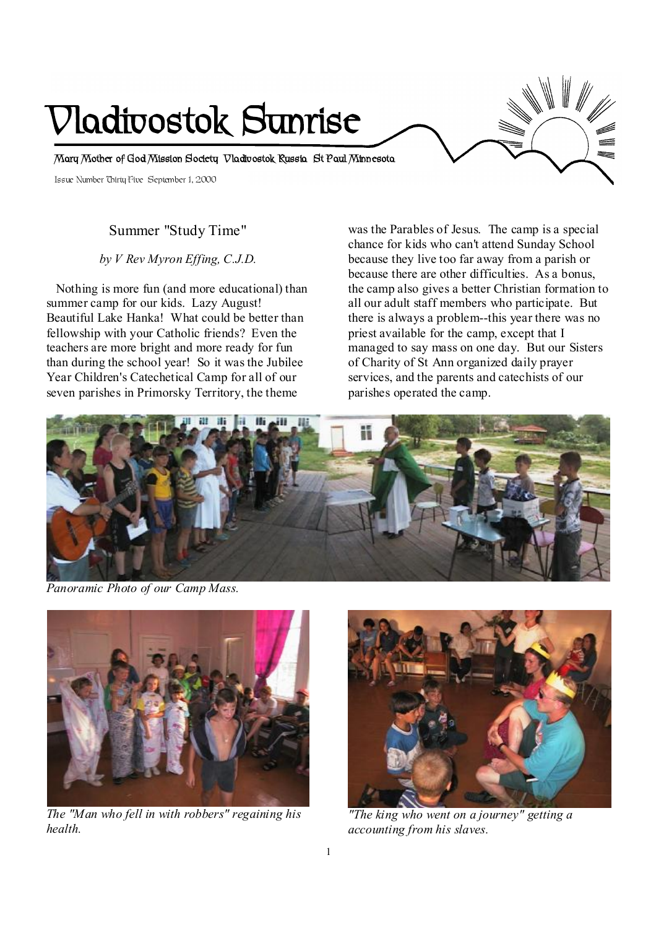# **Vladivostok Sunrise**

**Mary Mother of God Mission Society Vladivostok Russia St Paul Minnesota** 

Issue Number Thirty Five September 1, 2000

# Summer "Study Time"

*by V Rev Myron Effing, C.J.D.* 

Nothing is more fun (and more educational) than summer camp for our kids. Lazy August! Beautiful Lake Hanka! What could be better than fellowship with your Catholic friends? Even the teachers are more bright and more ready for fun than during the school year! So it wasthe Jubilee Year Children's Catechetical Camp for all of our seven parishes in Primorsky Territory, the theme

was the Parables of Jesus. The camp is a special chance for kids who can't attend Sunday School because they live too far away from a parish or because there are other difficulties. As a bonus, the camp also gives a better Christian formation to all our adult staff members who participate. But there is always a problem--this year there was no priest available for the camp, except that I managed to say mass on one day. But our Sisters of Charity of St Ann organized daily prayer services, and the parents and catechists of our parishes operated the camp.



*Panoramic Photo of our Camp Mass.* 



*The "Man who fell in with robbers" regaining his health.* 



*"The king who went on a journey" getting a accounting from his slaves.*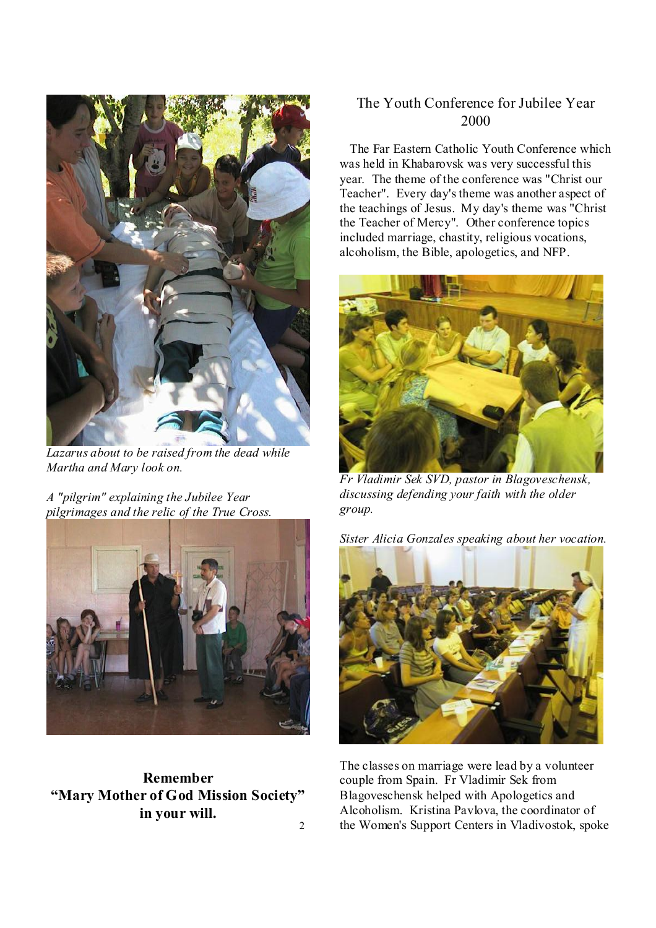

*Lazarus about to be raised from the dead while Martha and Mary look on.* 

*A "pilgrim" explaining the Jubilee Year pilgrimages and the relic of the True Cross.* 



**Remember "Mary Mother of God Mission Society" in your will.**  2

# The Youth Conference for Jubilee Year 2000

 The Far Eastern Catholic Youth Conference which was held in Khabarovsk was very successful this year. The theme of the conference was "Christ our Teacher". Every day'stheme was another aspect of the teachings of Jesus. My day's theme was "Christ the Teacher of Mercy". Other conference topics included marriage, chastity, religious vocations, alcoholism, the Bible, apologetics, and NFP.



*Fr Vladimir Sek SVD, pastor in Blagoveschensk, discussing defending your faith with the older group.* 

*Sister Alicia Gonzales speaking about her vocation.* 



The classes on marriage were lead by a volunteer couple from Spain. Fr Vladimir Sek from Blagoveschensk helped with Apologetics and Alcoholism. Kristina Pavlova, the coordinator of the Women's Support Centers in Vladivostok, spoke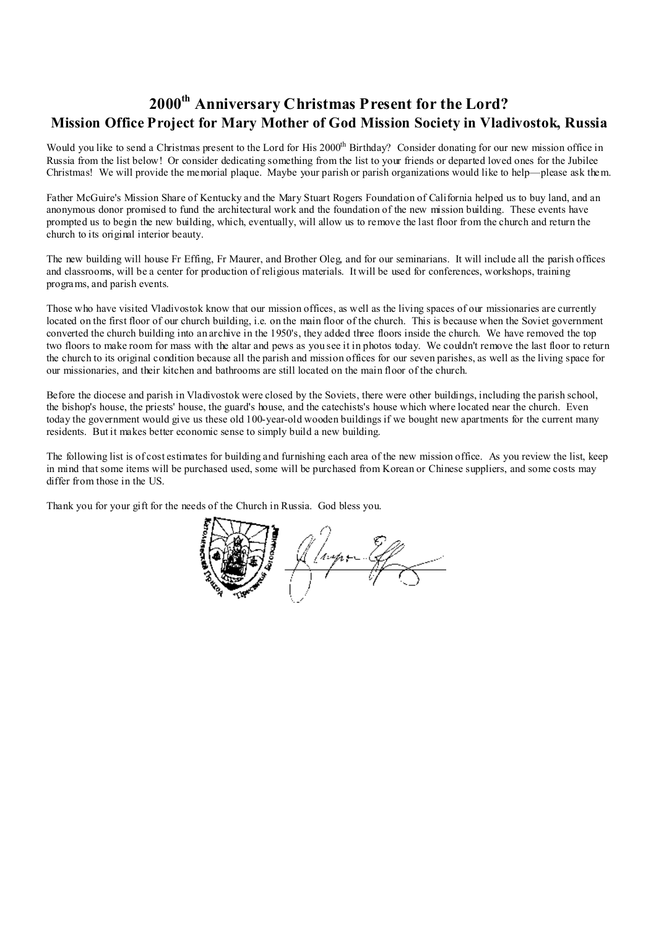# **2000th Anniversary Christmas Present for the Lord? Mission Office Project for Mary Mother of God Mission Society in Vladivostok, Russia**

Would you like to send a Christmas present to the Lord for His 2000<sup>th</sup> Birthday? Consider donating for our new mission office in Russia from the list below! Or consider dedicating something from the list to your friends or departed loved ones for the Jubilee Christmas! We will provide the memorial plaque. Maybe your parish or parish organizations would like to help—please ask them.

Father McGuire's Mission Share of Kentucky and the Mary Stuart Rogers Foundation of California helped us to buy land, and an anonymous donor promised to fund the architectural work and the foundation of the new mission building. These events have prompted us to begin the new building, which, eventually, will allow us to remove the last floor from the church and return the church to its original interior beauty.

The new building will house Fr Effing, Fr Maurer, and Brother Oleg, and for our seminarians. It will include all the parish offices and classrooms, will be a center for production of religious materials. It will be used for conferences, workshops, training programs, and parish events.

Those who have visited Vladivostok know that our mission offices, as well as the living spaces of our missionaries are currently located on the first floor of our church building, i.e. on the main floor of the church. This is because when the Soviet government converted the church building into an archive in the 1950's, they added three floors inside the church. We have removed the top two floors to make room for mass with the altar and pews as you see it in photos today. We couldn't remove the last floor to return the church to its original condition because all the parish and mission offices for our seven parishes, as well as the living space for our missionaries, and their kitchen and bathrooms are still located on the main floor of the church.

Before the diocese and parish in Vladivostok were closed by the Soviets, there were other buildings, including the parish school, the bishop's house, the priests' house, the guard's house, and the catechists's house which where located near the church. Even today the government would give us these old 100-year-old wooden buildings if we bought new apartments for the current many residents. But it makes better economic sense to simply build a new building.

The following list is of cost estimates for building and furnishing each area of the new mission office. As you review the list, keep in mind that some items will be purchased used, some will be purchased from Korean or Chinese suppliers, and some costs may differ from those in the US.

Thank you for your gift for the needs of the Church in Russia. God bless you.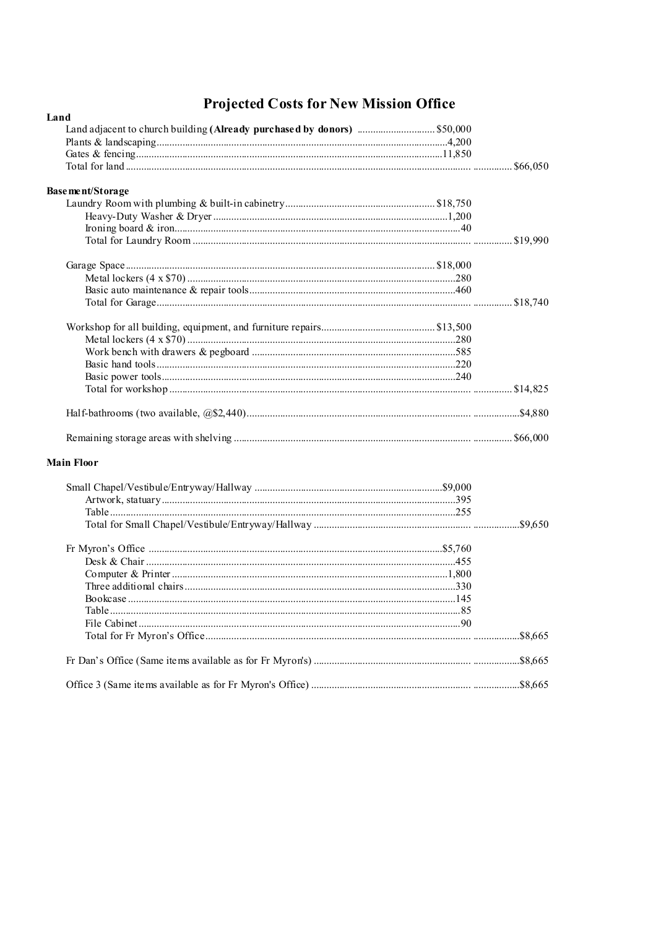# **Projected Costs for New Mission Office**

| Land              |  |
|-------------------|--|
|                   |  |
|                   |  |
|                   |  |
|                   |  |
| Base ment/Storage |  |
|                   |  |
|                   |  |
|                   |  |
|                   |  |
|                   |  |
|                   |  |
|                   |  |
|                   |  |
|                   |  |
|                   |  |
|                   |  |
|                   |  |
|                   |  |
|                   |  |
|                   |  |
|                   |  |
|                   |  |
| <b>Main Floor</b> |  |
|                   |  |
|                   |  |
|                   |  |
|                   |  |
|                   |  |
|                   |  |
|                   |  |
|                   |  |
|                   |  |
|                   |  |
|                   |  |
|                   |  |
|                   |  |
|                   |  |
|                   |  |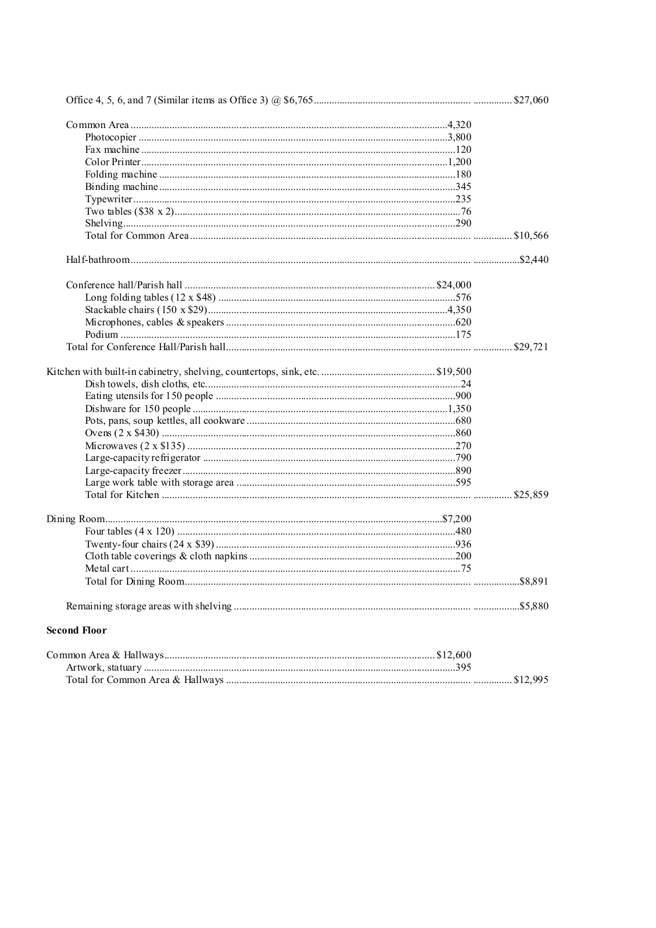| <b>Second Floor</b> |  |
|---------------------|--|
|                     |  |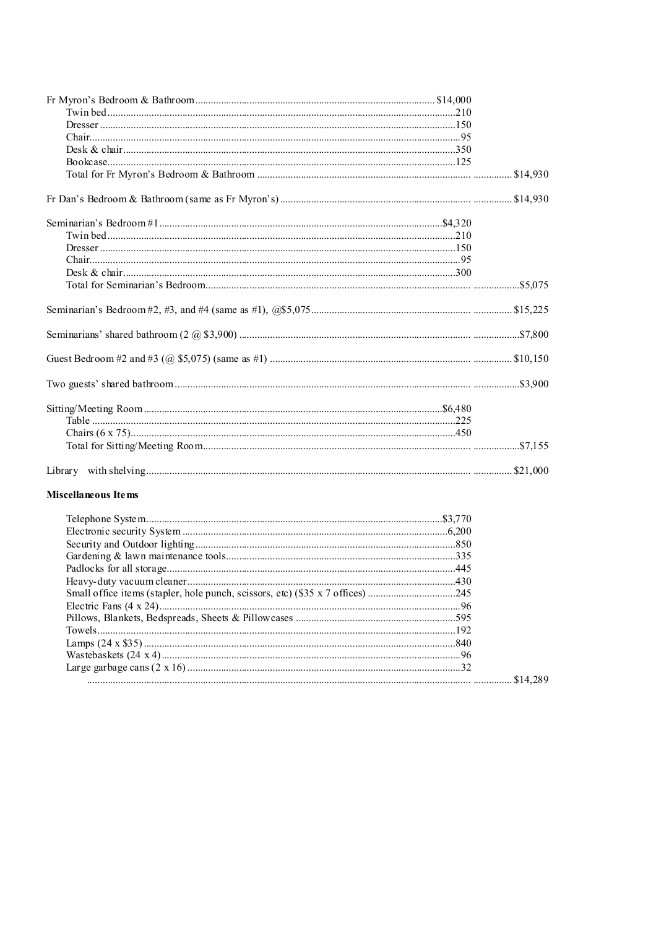### Miscellaneous Items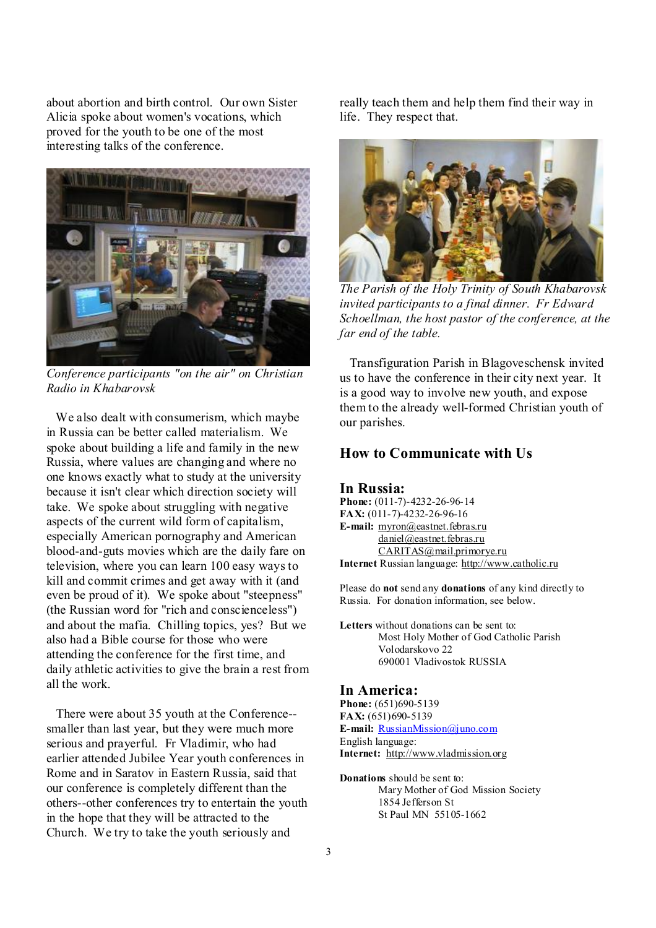about abortion and birth control. Our own Sister Alicia spoke about women's vocations, which proved for the youth to be one of the most interesting talks of the conference.



*Conference participants "on the air" on Christian Radio in Khabarovsk* 

We also dealt with consumerism, which maybe in Russia can be better called materialism. We spoke about building a life and family in the new Russia, where values are changing and where no one knows exactly what to study at the university because it isn't clear which direction society will take. We spoke about struggling with negative aspects of the current wild form of capitalism, especially American pornography and American blood-and-guts movies which are the daily fare on television, where you can learn 100 easy waysto kill and commit crimes and get away with it (and even be proud of it). We spoke about "steepness" (the Russian word for "rich and conscienceless") and about the mafia. Chilling topics, yes? But we also had a Bible course for those who were attending the conference for the first time, and daily athletic activities to give the brain a rest from all the work.

There were about 35 youth at the Conference- smaller than last year, but they were much more serious and prayerful. Fr Vladimir, who had earlier attended Jubilee Year youth conferences in Rome and in Saratov in Eastern Russia, said that our conference is completely different than the others--other conferences try to entertain the youth in the hope that they will be attracted to the Church. We try to take the youth seriously and

really teach them and help them find their way in life. They respect that.



*The Parish of the Holy Trinity of South Khabarovsk invited participantsto a final dinner. Fr Edward Schoellman, the host pastor of the conference, at the far end of the table.* 

 Transfiguration Parish in Blagoveschensk invited us to have the conference in their city next year. It is a good way to involve new youth, and expose them to the already well-formed Christian youth of our parishes.

# **How to Communicate with Us**

#### **In Russia:**

**Phone:** (011-7)-4232-26-96-14 **FAX:** (011-7)-4232-26-96-16 **E-mail:** [myron@eastnet.febras.ru](mailto:myron@eastnet.febras.ru) [daniel@eastnet.febras.ru](mailto:daniel@eastnet.febras.ru) [CARITAS@mail.primorye.ru](mailto:CARITAS@mail.primorye.ru) **Internet** Russian language: <http://www.catholic.ru>

Please do **not** send any **donations** of any kind directly to Russia. For donation information, see below.

**Letters** without donations can be sent to: Most Holy Mother of God Catholic Parish Volodarskovo 22 690001 Vladivostok RUSSIA

#### **In America:**

**Phone:** (651)690-5139 **FAX:** (651)690-5139 **E-mail:** [RussianMission@juno.com](mailto:RussianMission@juno.com) English language: **Internet:** <http://www.vladmission.org>

**Donations** should be sent to: Mary Mother of God Mission Society 1854 Jefferson St St Paul MN 55105-1662